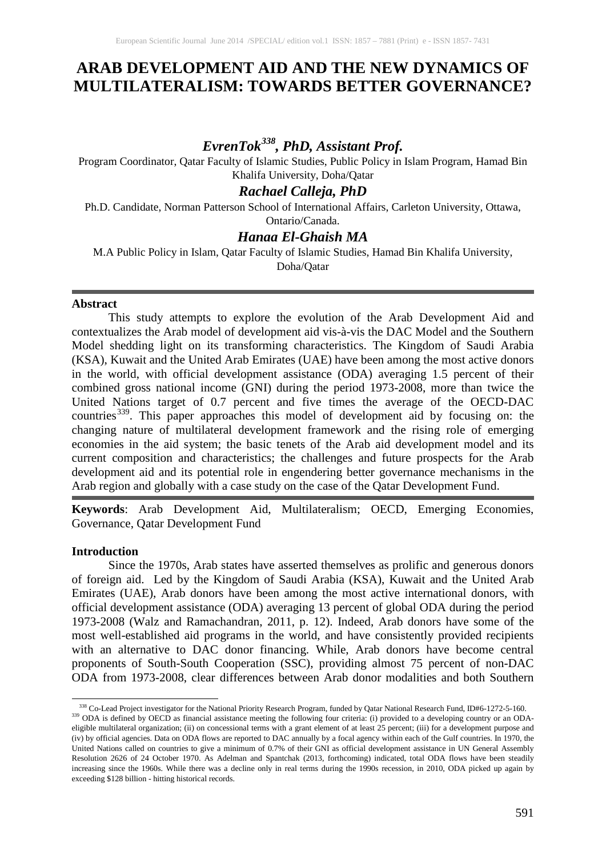## **ARAB DEVELOPMENT AID AND THE NEW DYNAMICS OF MULTILATERALISM: TOWARDS BETTER GOVERNANCE?**

# *EvrenTok[338,](#page-0-0) PhD, Assistant Prof.*

Program Coordinator, Qatar Faculty of Islamic Studies, Public Policy in Islam Program, Hamad Bin Khalifa University, Doha/Qatar

## *Rachael Calleja, PhD*

Ph.D. Candidate, Norman Patterson School of International Affairs, Carleton University, Ottawa, Ontario/Canada.

## *Hanaa El-Ghaish MA*

M.A Public Policy in Islam, Qatar Faculty of Islamic Studies, Hamad Bin Khalifa University,

Doha/Qatar

#### **Abstract**

This study attempts to explore the evolution of the Arab Development Aid and contextualizes the Arab model of development aid vis-à-vis the DAC Model and the Southern Model shedding light on its transforming characteristics. The Kingdom of Saudi Arabia (KSA), Kuwait and the United Arab Emirates (UAE) have been among the most active donors in the world, with official development assistance (ODA) averaging 1.5 percent of their combined gross national income (GNI) during the period 1973-2008, more than twice the United Nations target of 0.7 percent and five times the average of the OECD-DAC countries<sup>[339](#page-0-1)</sup>. This paper approaches this model of development aid by focusing on: the changing nature of multilateral development framework and the rising role of emerging economies in the aid system; the basic tenets of the Arab aid development model and its current composition and characteristics; the challenges and future prospects for the Arab development aid and its potential role in engendering better governance mechanisms in the Arab region and globally with a case study on the case of the Qatar Development Fund.

**Keywords**: Arab Development Aid, Multilateralism; OECD, Emerging Economies, Governance, Qatar Development Fund

#### **Introduction**

Since the 1970s, Arab states have asserted themselves as prolific and generous donors of foreign aid. Led by the Kingdom of Saudi Arabia (KSA), Kuwait and the United Arab Emirates (UAE), Arab donors have been among the most active international donors, with official development assistance (ODA) averaging 13 percent of global ODA during the period 1973-2008 (Walz and Ramachandran, 2011, p. 12). Indeed, Arab donors have some of the most well-established aid programs in the world, and have consistently provided recipients with an alternative to DAC donor financing. While, Arab donors have become central proponents of South-South Cooperation (SSC), providing almost 75 percent of non-DAC ODA from 1973-2008, clear differences between Arab donor modalities and both Southern

 $\overline{\phantom{a}}$ <sup>338</sup> Co-Lead Project investigator for the National Priority Research Program, funded by Qatar National Research Fund, ID#6-1272-5-160.<br><sup>339</sup> ODA is defined by OECD as financial assistance meeting the following four criter

<span id="page-0-1"></span><span id="page-0-0"></span>eligible multilateral organization; (ii) on concessional terms with a grant element of at least 25 percent; (iii) for a development purpose and (iv) by official agencies. Data on ODA flows are reported to DAC annually by a focal agency within each of the Gulf countries. In 1970, the United Nations called on countries to give a minimum of 0.7% of their GNI as official development assistance in UN General Assembly Resolution 2626 of 24 October 1970. As Adelman and Spantchak (2013, forthcoming) indicated, total ODA flows have been steadily increasing since the 1960s. While there was a decline only in real terms during the 1990s recession, in 2010, ODA picked up again by exceeding \$128 billion - hitting historical records.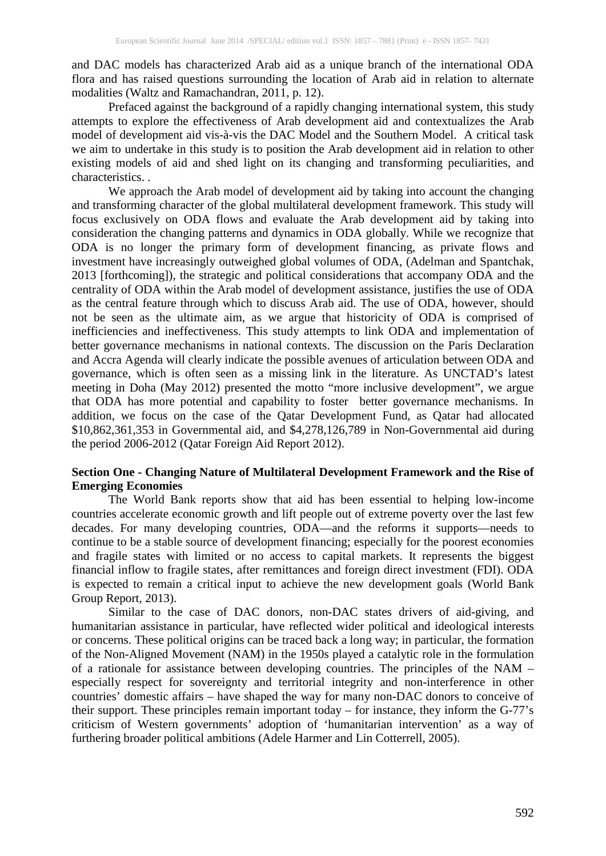and DAC models has characterized Arab aid as a unique branch of the international ODA flora and has raised questions surrounding the location of Arab aid in relation to alternate modalities (Waltz and Ramachandran, 2011, p. 12).

Prefaced against the background of a rapidly changing international system, this study attempts to explore the effectiveness of Arab development aid and contextualizes the Arab model of development aid vis-à-vis the DAC Model and the Southern Model. A critical task we aim to undertake in this study is to position the Arab development aid in relation to other existing models of aid and shed light on its changing and transforming peculiarities, and characteristics. .

We approach the Arab model of development aid by taking into account the changing and transforming character of the global multilateral development framework. This study will focus exclusively on ODA flows and evaluate the Arab development aid by taking into consideration the changing patterns and dynamics in ODA globally. While we recognize that ODA is no longer the primary form of development financing, as private flows and investment have increasingly outweighed global volumes of ODA, (Adelman and Spantchak, 2013 [forthcoming]), the strategic and political considerations that accompany ODA and the centrality of ODA within the Arab model of development assistance, justifies the use of ODA as the central feature through which to discuss Arab aid. The use of ODA, however, should not be seen as the ultimate aim, as we argue that historicity of ODA is comprised of inefficiencies and ineffectiveness. This study attempts to link ODA and implementation of better governance mechanisms in national contexts. The discussion on the Paris Declaration and Accra Agenda will clearly indicate the possible avenues of articulation between ODA and governance, which is often seen as a missing link in the literature. As UNCTAD's latest meeting in Doha (May 2012) presented the motto "more inclusive development", we argue that ODA has more potential and capability to foster better governance mechanisms. In addition, we focus on the case of the Qatar Development Fund, as Qatar had allocated \$10,862,361,353 in Governmental aid, and \$4,278,126,789 in Non-Governmental aid during the period 2006-2012 (Qatar Foreign Aid Report 2012).

### **Section One - Changing Nature of Multilateral Development Framework and the Rise of Emerging Economies**

The World Bank reports show that aid has been essential to helping low-income countries accelerate economic growth and lift people out of extreme poverty over the last few decades. For many developing countries, ODA—and the reforms it supports—needs to continue to be a stable source of development financing; especially for the poorest economies and fragile states with limited or no access to capital markets. It represents the biggest financial inflow to fragile states, after remittances and foreign direct investment (FDI). ODA is expected to remain a critical input to achieve the new development goals (World Bank Group Report, 2013).

Similar to the case of DAC donors, non-DAC states drivers of aid-giving, and humanitarian assistance in particular, have reflected wider political and ideological interests or concerns. These political origins can be traced back a long way; in particular, the formation of the Non-Aligned Movement (NAM) in the 1950s played a catalytic role in the formulation of a rationale for assistance between developing countries. The principles of the NAM – especially respect for sovereignty and territorial integrity and non-interference in other countries' domestic affairs – have shaped the way for many non-DAC donors to conceive of their support. These principles remain important today – for instance, they inform the G-77's criticism of Western governments' adoption of 'humanitarian intervention' as a way of furthering broader political ambitions (Adele Harmer and Lin Cotterrell, 2005).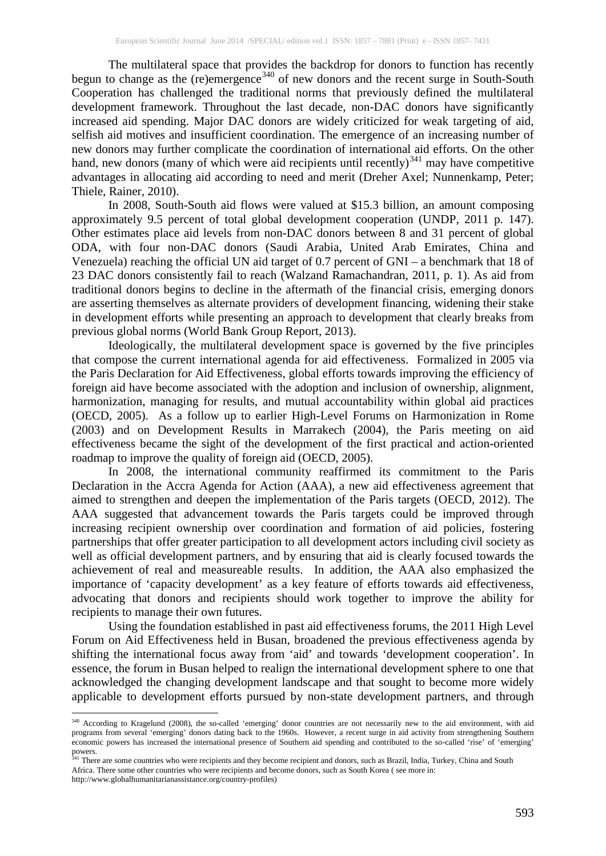The multilateral space that provides the backdrop for donors to function has recently begun to change as the (re)emergence<sup>[340](#page-2-0)</sup> of new donors and the recent surge in South-South Cooperation has challenged the traditional norms that previously defined the multilateral development framework. Throughout the last decade, non-DAC donors have significantly increased aid spending. Major DAC donors are widely criticized for weak targeting of aid, selfish aid motives and insufficient coordination. The emergence of an increasing number of new donors may further complicate the coordination of international aid efforts. On the other hand, new donors (many of which were aid recipients until recently)<sup>[341](#page-2-1)</sup> may have competitive advantages in allocating aid according to need and merit (Dreher Axel; Nunnenkamp, Peter; Thiele, Rainer, 2010).

In 2008, South-South aid flows were valued at \$15.3 billion, an amount composing approximately 9.5 percent of total global development cooperation (UNDP, 2011 p. 147). Other estimates place aid levels from non-DAC donors between 8 and 31 percent of global ODA, with four non-DAC donors (Saudi Arabia, United Arab Emirates, China and Venezuela) reaching the official UN aid target of 0.7 percent of GNI – a benchmark that 18 of 23 DAC donors consistently fail to reach (Walzand Ramachandran, 2011, p. 1). As aid from traditional donors begins to decline in the aftermath of the financial crisis, emerging donors are asserting themselves as alternate providers of development financing, widening their stake in development efforts while presenting an approach to development that clearly breaks from previous global norms (World Bank Group Report, 2013).

Ideologically, the multilateral development space is governed by the five principles that compose the current international agenda for aid effectiveness. Formalized in 2005 via the Paris Declaration for Aid Effectiveness, global efforts towards improving the efficiency of foreign aid have become associated with the adoption and inclusion of ownership, alignment, harmonization, managing for results, and mutual accountability within global aid practices (OECD, 2005). As a follow up to earlier High-Level Forums on Harmonization in Rome (2003) and on Development Results in Marrakech (2004), the Paris meeting on aid effectiveness became the sight of the development of the first practical and action-oriented roadmap to improve the quality of foreign aid (OECD, 2005).

In 2008, the international community reaffirmed its commitment to the Paris Declaration in the Accra Agenda for Action (AAA), a new aid effectiveness agreement that aimed to strengthen and deepen the implementation of the Paris targets (OECD, 2012). The AAA suggested that advancement towards the Paris targets could be improved through increasing recipient ownership over coordination and formation of aid policies, fostering partnerships that offer greater participation to all development actors including civil society as well as official development partners, and by ensuring that aid is clearly focused towards the achievement of real and measureable results. In addition, the AAA also emphasized the importance of 'capacity development' as a key feature of efforts towards aid effectiveness, advocating that donors and recipients should work together to improve the ability for recipients to manage their own futures.

Using the foundation established in past aid effectiveness forums, the 2011 High Level Forum on Aid Effectiveness held in Busan, broadened the previous effectiveness agenda by shifting the international focus away from 'aid' and towards 'development cooperation'. In essence, the forum in Busan helped to realign the international development sphere to one that acknowledged the changing development landscape and that sought to become more widely applicable to development efforts pursued by non-state development partners, and through

 $\overline{\phantom{a}}$ 

<span id="page-2-0"></span><sup>&</sup>lt;sup>340</sup> According to Kragelund (2008), the so-called 'emerging' donor countries are not necessarily new to the aid environment, with aid programs from several 'emerging' donors dating back to the 1960s. However, a recent surge in aid activity from strengthening Southern economic powers has increased the international presence of Southern aid spending and contributed to the so-called 'rise' of 'emerging' powers.

<span id="page-2-1"></span><sup>&</sup>lt;sup>341</sup> There are some countries who were recipients and they become recipient and donors, such as Brazil, India, Turkey, China and South Africa. There some other countries who were recipients and become donors, such as South Korea ( see more in: http://www.globalhumanitarianassistance.org/country-profiles)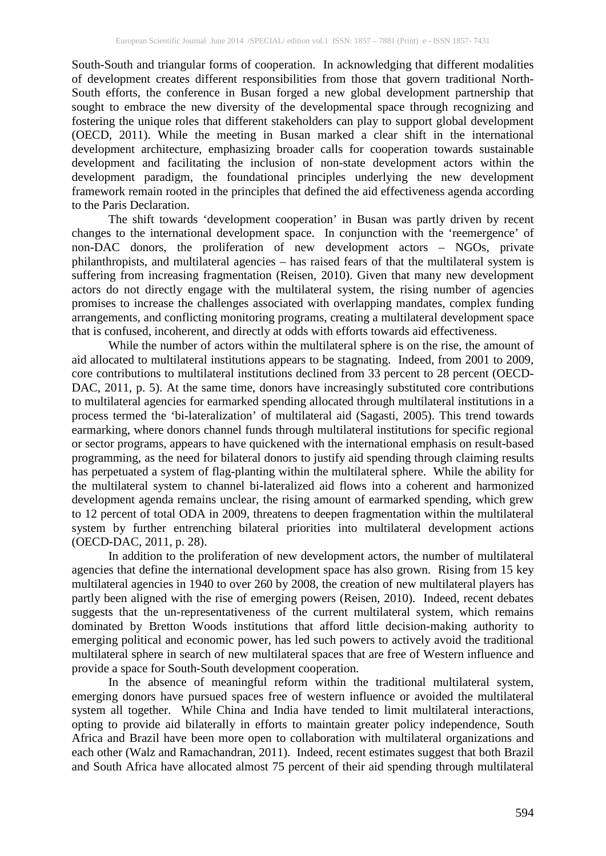South-South and triangular forms of cooperation. In acknowledging that different modalities of development creates different responsibilities from those that govern traditional North-South efforts, the conference in Busan forged a new global development partnership that sought to embrace the new diversity of the developmental space through recognizing and fostering the unique roles that different stakeholders can play to support global development (OECD, 2011). While the meeting in Busan marked a clear shift in the international development architecture, emphasizing broader calls for cooperation towards sustainable development and facilitating the inclusion of non-state development actors within the development paradigm, the foundational principles underlying the new development framework remain rooted in the principles that defined the aid effectiveness agenda according to the Paris Declaration.

The shift towards 'development cooperation' in Busan was partly driven by recent changes to the international development space. In conjunction with the 'reemergence' of non-DAC donors, the proliferation of new development actors – NGOs, private philanthropists, and multilateral agencies – has raised fears of that the multilateral system is suffering from increasing fragmentation (Reisen, 2010). Given that many new development actors do not directly engage with the multilateral system, the rising number of agencies promises to increase the challenges associated with overlapping mandates, complex funding arrangements, and conflicting monitoring programs, creating a multilateral development space that is confused, incoherent, and directly at odds with efforts towards aid effectiveness.

While the number of actors within the multilateral sphere is on the rise, the amount of aid allocated to multilateral institutions appears to be stagnating. Indeed, from 2001 to 2009, core contributions to multilateral institutions declined from 33 percent to 28 percent (OECD-DAC, 2011, p. 5). At the same time, donors have increasingly substituted core contributions to multilateral agencies for earmarked spending allocated through multilateral institutions in a process termed the 'bi-lateralization' of multilateral aid (Sagasti, 2005). This trend towards earmarking, where donors channel funds through multilateral institutions for specific regional or sector programs, appears to have quickened with the international emphasis on result-based programming, as the need for bilateral donors to justify aid spending through claiming results has perpetuated a system of flag-planting within the multilateral sphere. While the ability for the multilateral system to channel bi-lateralized aid flows into a coherent and harmonized development agenda remains unclear, the rising amount of earmarked spending, which grew to 12 percent of total ODA in 2009, threatens to deepen fragmentation within the multilateral system by further entrenching bilateral priorities into multilateral development actions (OECD-DAC, 2011, p. 28).

In addition to the proliferation of new development actors, the number of multilateral agencies that define the international development space has also grown. Rising from 15 key multilateral agencies in 1940 to over 260 by 2008, the creation of new multilateral players has partly been aligned with the rise of emerging powers (Reisen, 2010). Indeed, recent debates suggests that the un-representativeness of the current multilateral system, which remains dominated by Bretton Woods institutions that afford little decision-making authority to emerging political and economic power, has led such powers to actively avoid the traditional multilateral sphere in search of new multilateral spaces that are free of Western influence and provide a space for South-South development cooperation.

In the absence of meaningful reform within the traditional multilateral system, emerging donors have pursued spaces free of western influence or avoided the multilateral system all together. While China and India have tended to limit multilateral interactions, opting to provide aid bilaterally in efforts to maintain greater policy independence, South Africa and Brazil have been more open to collaboration with multilateral organizations and each other (Walz and Ramachandran, 2011). Indeed, recent estimates suggest that both Brazil and South Africa have allocated almost 75 percent of their aid spending through multilateral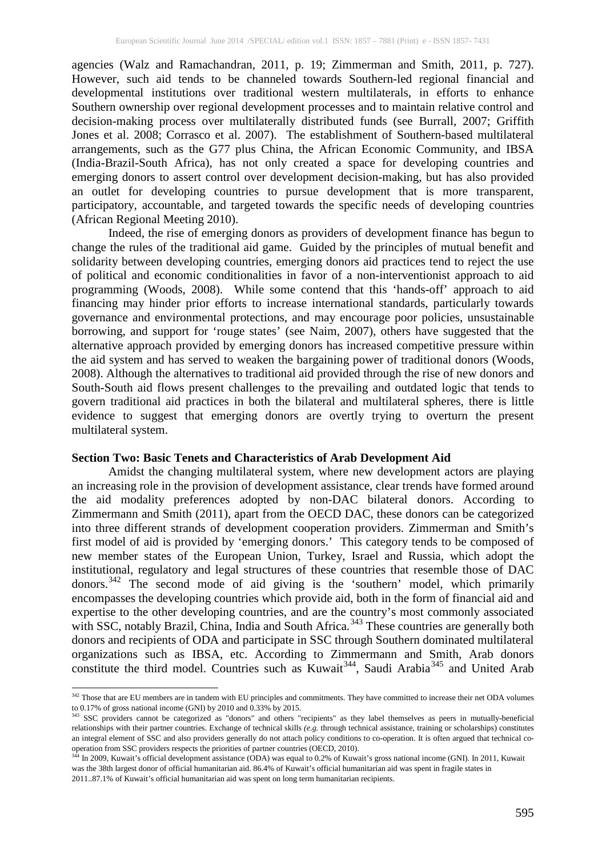agencies (Walz and Ramachandran, 2011, p. 19; Zimmerman and Smith, 2011, p. 727). However, such aid tends to be channeled towards Southern-led regional financial and developmental institutions over traditional western multilaterals, in efforts to enhance Southern ownership over regional development processes and to maintain relative control and decision-making process over multilaterally distributed funds (see Burrall, 2007; Griffith Jones et al. 2008; Corrasco et al. 2007). The establishment of Southern-based multilateral arrangements, such as the G77 plus China, the African Economic Community, and IBSA (India-Brazil-South Africa), has not only created a space for developing countries and emerging donors to assert control over development decision-making, but has also provided an outlet for developing countries to pursue development that is more transparent, participatory, accountable, and targeted towards the specific needs of developing countries (African Regional Meeting 2010).

Indeed, the rise of emerging donors as providers of development finance has begun to change the rules of the traditional aid game. Guided by the principles of mutual benefit and solidarity between developing countries, emerging donors aid practices tend to reject the use of political and economic conditionalities in favor of a non-interventionist approach to aid programming (Woods, 2008). While some contend that this 'hands-off' approach to aid financing may hinder prior efforts to increase international standards, particularly towards governance and environmental protections, and may encourage poor policies, unsustainable borrowing, and support for 'rouge states' (see Naim, 2007), others have suggested that the alternative approach provided by emerging donors has increased competitive pressure within the aid system and has served to weaken the bargaining power of traditional donors (Woods, 2008). Although the alternatives to traditional aid provided through the rise of new donors and South-South aid flows present challenges to the prevailing and outdated logic that tends to govern traditional aid practices in both the bilateral and multilateral spheres, there is little evidence to suggest that emerging donors are overtly trying to overturn the present multilateral system.

#### **Section Two: Basic Tenets and Characteristics of Arab Development Aid**

Amidst the changing multilateral system, where new development actors are playing an increasing role in the provision of development assistance, clear trends have formed around the aid modality preferences adopted by non-DAC bilateral donors. According to Zimmermann and Smith (2011), apart from the OECD DAC, these donors can be categorized into three different strands of development cooperation providers. Zimmerman and Smith's first model of aid is provided by 'emerging donors.' This category tends to be composed of new member states of the European Union, Turkey, Israel and Russia, which adopt the institutional, regulatory and legal structures of these countries that resemble those of DAC donors.<sup>[342](#page-4-0)</sup> The second mode of aid giving is the 'southern' model, which primarily encompasses the developing countries which provide aid, both in the form of financial aid and expertise to the other developing countries, and are the country's most commonly associated with SSC, notably Brazil, China, India and South Africa.<sup>[343](#page-4-1)</sup> These countries are generally both donors and recipients of ODA and participate in SSC through Southern dominated multilateral organizations such as IBSA, etc. According to Zimmermann and Smith, Arab donors constitute the third model. Countries such as Kuwait<sup>344</sup>, Saudi Arabia<sup>[345](#page-4-3)</sup> and United Arab

<span id="page-4-3"></span><span id="page-4-0"></span>l <sup>342</sup> Those that are EU members are in tandem with EU principles and commitments. They have committed to increase their net ODA volumes to 0.17% of gross national income (GNI) by 2010 and 0.33% by 2015.

<span id="page-4-1"></span><sup>&</sup>lt;sup>343</sup> SSC providers cannot be categorized as "donors" and others "recipients" as they label themselves as peers in mutually-beneficial relationships with their partner countries. Exchange of technical skills *(e.g.* through technical assistance, training or scholarships) constitutes an integral element of SSC and also providers generally do not attach policy conditions to co-operation. It is often argued that technical cooperation from SSC providers respects the priorities of partner countries (OECD, 2010).

<span id="page-4-2"></span><sup>344</sup> In 2009, Kuwait's official development assistance (ODA) was equal to 0.2% of Kuwait's gross national income (GNI). In 2011, Kuwait was the 38th largest donor of official humanitarian aid. 86.4% of Kuwait's official humanitarian aid was spent in fragile states in 2011..87.1% of Kuwait's official humanitarian aid was spent on long term humanitarian recipients.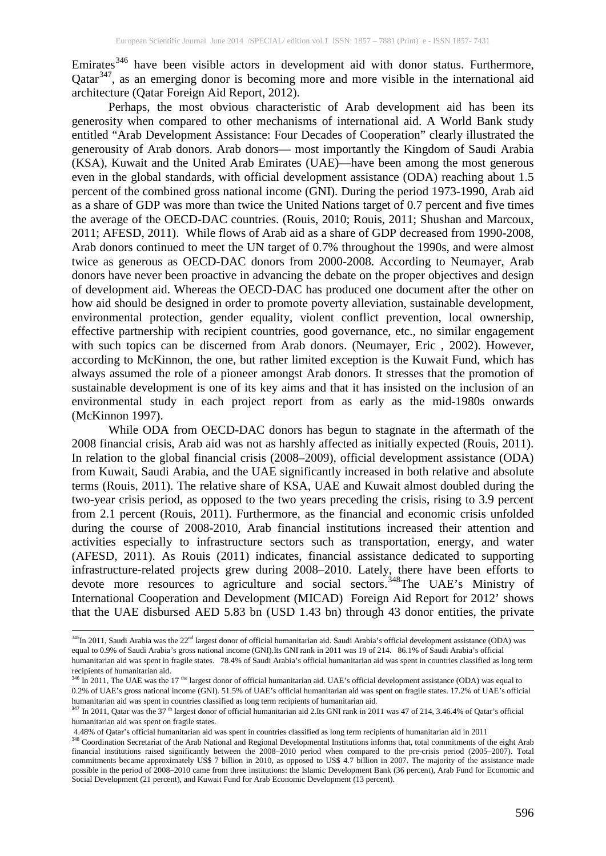Emirates<sup>[346](#page-5-0)</sup> have been visible actors in development aid with donor status. Furthermore, Qatar<sup>347</sup>, as an emerging donor is becoming more and more visible in the international aid architecture (Qatar Foreign Aid Report, 2012).

Perhaps, the most obvious characteristic of Arab development aid has been its generosity when compared to other mechanisms of international aid. A World Bank study entitled "Arab Development Assistance: Four Decades of Cooperation" clearly illustrated the generousity of Arab donors. Arab donors— most importantly the Kingdom of Saudi Arabia (KSA), Kuwait and the United Arab Emirates (UAE)—have been among the most generous even in the global standards, with official development assistance (ODA) reaching about 1.5 percent of the combined gross national income (GNI). During the period 1973-1990, Arab aid as a share of GDP was more than twice the United Nations target of 0.7 percent and five times the average of the OECD-DAC countries. (Rouis, 2010; Rouis, 2011; Shushan and Marcoux, 2011; AFESD, 2011). While flows of Arab aid as a share of GDP decreased from 1990-2008, Arab donors continued to meet the UN target of 0.7% throughout the 1990s, and were almost twice as generous as OECD-DAC donors from 2000-2008. According to Neumayer, Arab donors have never been proactive in advancing the debate on the proper objectives and design of development aid. Whereas the OECD-DAC has produced one document after the other on how aid should be designed in order to promote poverty alleviation, sustainable development, environmental protection, gender equality, violent conflict prevention, local ownership, effective partnership with recipient countries, good governance, etc., no similar engagement with such topics can be discerned from Arab donors. (Neumayer, Eric , 2002). However, according to McKinnon, the one, but rather limited exception is the Kuwait Fund, which has always assumed the role of a pioneer amongst Arab donors. It stresses that the promotion of sustainable development is one of its key aims and that it has insisted on the inclusion of an environmental study in each project report from as early as the mid-1980s onwards (McKinnon 1997).

While ODA from OECD-DAC donors has begun to stagnate in the aftermath of the 2008 financial crisis, Arab aid was not as harshly affected as initially expected (Rouis, 2011). In relation to the global financial crisis (2008–2009), official development assistance (ODA) from Kuwait, Saudi Arabia, and the UAE significantly increased in both relative and absolute terms (Rouis, 2011). The relative share of KSA, UAE and Kuwait almost doubled during the two-year crisis period, as opposed to the two years preceding the crisis, rising to 3.9 percent from 2.1 percent (Rouis, 2011). Furthermore, as the financial and economic crisis unfolded during the course of 2008-2010, Arab financial institutions increased their attention and activities especially to infrastructure sectors such as transportation, energy, and water (AFESD, 2011). As Rouis (2011) indicates, financial assistance dedicated to supporting infrastructure-related projects grew during 2008–2010. Lately, there have been efforts to devote more resources to agriculture and social sectors.<sup>348</sup>The UAE's Ministry of International Cooperation and Development (MICAD) Foreign Aid Report for 2012' shows that the UAE disbursed AED 5.83 bn (USD 1.43 bn) through 43 donor entities, the private

l

<sup>&</sup>lt;sup>345</sup>In 2011, Saudi Arabia was the 22<sup>nd</sup> largest donor of official humanitarian aid. Saudi Arabia's official development assistance (ODA) was equal to 0.9% of Saudi Arabia's gross national income (GNI).Its GNI rank in 2011 was 19 of 214. 86.1% of Saudi Arabia's official humanitarian aid was spent in fragile states. 78.4% of Saudi Arabia's official humanitarian aid was spent in countries classified as long term recipients of humanitarian aid.

<span id="page-5-0"></span><sup>&</sup>lt;sup>346</sup> In 2011, The UAE was the 17<sup>the</sup> largest donor of official humanitarian aid. UAE's official development assistance (ODA) was equal to 0.2% of UAE's gross national income (GNI). 51.5% of UAE's official humanitarian aid was spent on fragile states. 17.2% of UAE's official humanitarian aid was spent in countries classified as long term recipients of humanitarian aid.

<span id="page-5-1"></span> $347$  In 2011, Qatar was the 37<sup>th</sup> largest donor of official humanitarian aid 2.Its GNI rank in 2011 was 47 of 214, 3.46.4% of Qatar's official humanitarian aid was spent on fragile states.

<sup>4.48%</sup> of Qatar's official humanitarian aid was spent in countries classified as long term recipients of humanitarian aid in 2011

<span id="page-5-2"></span><sup>&</sup>lt;sup>348</sup> Coordination Secretariat of the Arab National and Regional Developmental Institutions informs that, total commitments of the eight Arab financial institutions raised significantly between the 2008–2010 period when compared to the pre-crisis period (2005–2007). Total commitments became approximately US\$ 7 billion in 2010, as opposed to US\$ 4.7 billion in 2007. The majority of the assistance made possible in the period of 2008–2010 came from three institutions: the Islamic Development Bank (36 percent), Arab Fund for Economic and Social Development (21 percent), and Kuwait Fund for Arab Economic Development (13 percent).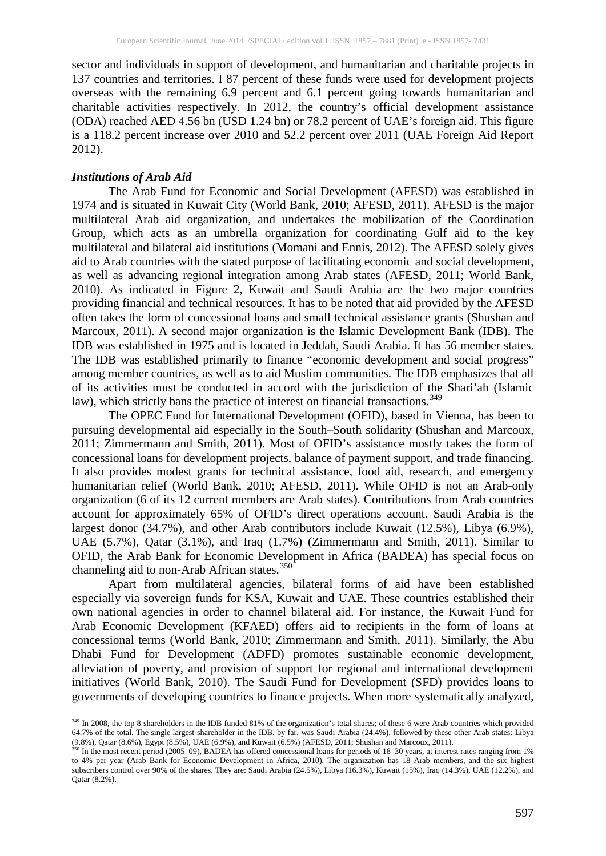sector and individuals in support of development, and humanitarian and charitable projects in 137 countries and territories. I 87 percent of these funds were used for development projects overseas with the remaining 6.9 percent and 6.1 percent going towards humanitarian and charitable activities respectively. In 2012, the country's official development assistance (ODA) reached AED 4.56 bn (USD 1.24 bn) or 78.2 percent of UAE's foreign aid. This figure is a 118.2 percent increase over 2010 and 52.2 percent over 2011 (UAE Foreign Aid Report 2012).

## *Institutions of Arab Aid*

 $\overline{\phantom{a}}$ 

The Arab Fund for Economic and Social Development (AFESD) was established in 1974 and is situated in Kuwait City (World Bank, 2010; AFESD, 2011). AFESD is the major multilateral Arab aid organization, and undertakes the mobilization of the Coordination Group, which acts as an umbrella organization for coordinating Gulf aid to the key multilateral and bilateral aid institutions (Momani and Ennis, 2012). The AFESD solely gives aid to Arab countries with the stated purpose of facilitating economic and social development, as well as advancing regional integration among Arab states (AFESD, 2011; World Bank, 2010). As indicated in Figure 2, Kuwait and Saudi Arabia are the two major countries providing financial and technical resources. It has to be noted that aid provided by the AFESD often takes the form of concessional loans and small technical assistance grants (Shushan and Marcoux, 2011). A second major organization is the Islamic Development Bank (IDB). The IDB was established in 1975 and is located in Jeddah, Saudi Arabia. It has 56 member states. The IDB was established primarily to finance "economic development and social progress" among member countries, as well as to aid Muslim communities. The IDB emphasizes that all of its activities must be conducted in accord with the jurisdiction of the Shari'ah (Islamic law), which strictly bans the practice of interest on financial transactions.<sup>[349](#page-6-0)</sup>

The OPEC Fund for International Development (OFID), based in Vienna, has been to pursuing developmental aid especially in the South–South solidarity (Shushan and Marcoux, 2011; Zimmermann and Smith, 2011). Most of OFID's assistance mostly takes the form of concessional loans for development projects, balance of payment support, and trade financing. It also provides modest grants for technical assistance, food aid, research, and emergency humanitarian relief (World Bank, 2010; AFESD, 2011). While OFID is not an Arab-only organization (6 of its 12 current members are Arab states). Contributions from Arab countries account for approximately 65% of OFID's direct operations account. Saudi Arabia is the largest donor (34.7%), and other Arab contributors include Kuwait (12.5%), Libya (6.9%), UAE (5.7%), Qatar (3.1%), and Iraq (1.7%) (Zimmermann and Smith, 2011). Similar to OFID, the Arab Bank for Economic Development in Africa (BADEA) has special focus on channeling aid to non-Arab African states.<sup>[350](#page-6-1)</sup>

Apart from multilateral agencies, bilateral forms of aid have been established especially via sovereign funds for KSA, Kuwait and UAE. These countries established their own national agencies in order to channel bilateral aid. For instance, the Kuwait Fund for Arab Economic Development (KFAED) offers aid to recipients in the form of loans at concessional terms (World Bank, 2010; Zimmermann and Smith, 2011). Similarly, the Abu Dhabi Fund for Development (ADFD) promotes sustainable economic development, alleviation of poverty, and provision of support for regional and international development initiatives (World Bank, 2010). The Saudi Fund for Development (SFD) provides loans to governments of developing countries to finance projects. When more systematically analyzed,

<span id="page-6-0"></span><sup>&</sup>lt;sup>349</sup> In 2008, the top 8 shareholders in the IDB funded 81% of the organization's total shares; of these 6 were Arab countries which provided 64.7% of the total. The single largest shareholder in the IDB, by far, was Saudi Arabia (24.4%), followed by these other Arab states: Libya (9.8%), Qatar (8.6%), Egypt (8.5%), UAE (6.9%), and Kuwait (6.5%) (AFESD, 2011; Shushan and Marcoux, 2011).

<span id="page-6-1"></span> $\frac{350}{100}$  In the most recent period (2005–09), BADEA has offered concessional loans for periods of 18–30 years, at interest rates ranging from 1% to 4% per year (Arab Bank for Economic Development in Africa, 2010). The organization has 18 Arab members, and the six highest subscribers control over 90% of the shares. They are: Saudi Arabia (24.5%), Libya (16.3%), Kuwait (15%), Iraq (14.3%), UAE (12.2%), and Qatar (8.2%).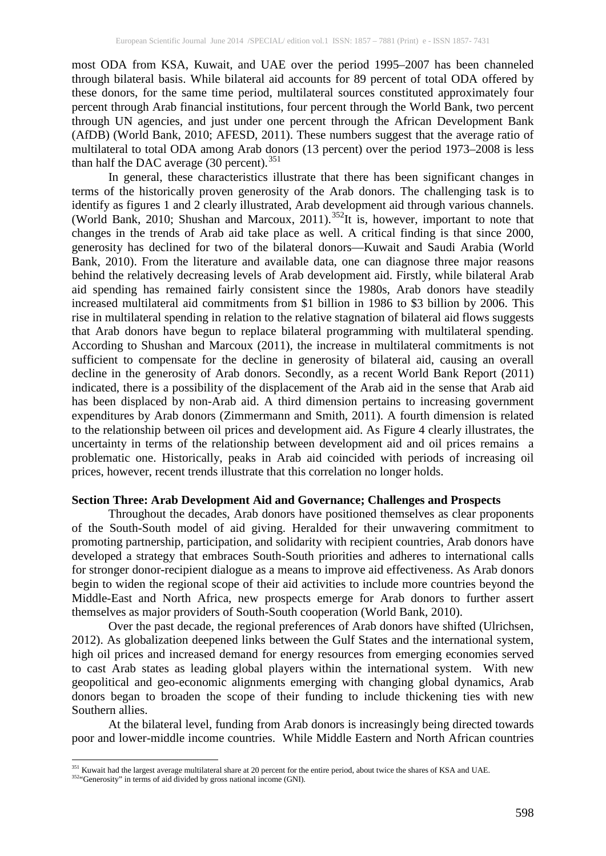most ODA from KSA, Kuwait, and UAE over the period 1995–2007 has been channeled through bilateral basis. While bilateral aid accounts for 89 percent of total ODA offered by these donors, for the same time period, multilateral sources constituted approximately four percent through Arab financial institutions, four percent through the World Bank, two percent through UN agencies, and just under one percent through the African Development Bank (AfDB) (World Bank, 2010; AFESD, 2011). These numbers suggest that the average ratio of multilateral to total ODA among Arab donors (13 percent) over the period 1973–2008 is less than half the DAC average  $(30 \text{ percent.}^{351})$  $(30 \text{ percent.}^{351})$  $(30 \text{ percent.}^{351})$ 

In general, these characteristics illustrate that there has been significant changes in terms of the historically proven generosity of the Arab donors. The challenging task is to identify as figures 1 and 2 clearly illustrated, Arab development aid through various channels. (World Bank, 2010; Shushan and Marcoux, 2011).<sup>[352](#page-7-1)</sup>It is, however, important to note that changes in the trends of Arab aid take place as well. A critical finding is that since 2000, generosity has declined for two of the bilateral donors—Kuwait and Saudi Arabia (World Bank, 2010). From the literature and available data, one can diagnose three major reasons behind the relatively decreasing levels of Arab development aid. Firstly, while bilateral Arab aid spending has remained fairly consistent since the 1980s, Arab donors have steadily increased multilateral aid commitments from \$1 billion in 1986 to \$3 billion by 2006. This rise in multilateral spending in relation to the relative stagnation of bilateral aid flows suggests that Arab donors have begun to replace bilateral programming with multilateral spending. According to Shushan and Marcoux (2011), the increase in multilateral commitments is not sufficient to compensate for the decline in generosity of bilateral aid, causing an overall decline in the generosity of Arab donors. Secondly, as a recent World Bank Report (2011) indicated, there is a possibility of the displacement of the Arab aid in the sense that Arab aid has been displaced by non-Arab aid. A third dimension pertains to increasing government expenditures by Arab donors (Zimmermann and Smith, 2011). A fourth dimension is related to the relationship between oil prices and development aid. As Figure 4 clearly illustrates, the uncertainty in terms of the relationship between development aid and oil prices remains a problematic one. Historically, peaks in Arab aid coincided with periods of increasing oil prices, however, recent trends illustrate that this correlation no longer holds.

#### **Section Three: Arab Development Aid and Governance; Challenges and Prospects**

Throughout the decades, Arab donors have positioned themselves as clear proponents of the South-South model of aid giving. Heralded for their unwavering commitment to promoting partnership, participation, and solidarity with recipient countries, Arab donors have developed a strategy that embraces South-South priorities and adheres to international calls for stronger donor-recipient dialogue as a means to improve aid effectiveness. As Arab donors begin to widen the regional scope of their aid activities to include more countries beyond the Middle-East and North Africa, new prospects emerge for Arab donors to further assert themselves as major providers of South-South cooperation (World Bank, 2010).

Over the past decade, the regional preferences of Arab donors have shifted (Ulrichsen, 2012). As globalization deepened links between the Gulf States and the international system, high oil prices and increased demand for energy resources from emerging economies served to cast Arab states as leading global players within the international system. With new geopolitical and geo-economic alignments emerging with changing global dynamics, Arab donors began to broaden the scope of their funding to include thickening ties with new Southern allies.

At the bilateral level, funding from Arab donors is increasingly being directed towards poor and lower-middle income countries. While Middle Eastern and North African countries

l <sup>351</sup> Kuwait had the largest average multilateral share at 20 percent for the entire period, about twice the shares of KSA and UAE.

<span id="page-7-1"></span><span id="page-7-0"></span><sup>352&</sup>quot;Generosity" in terms of aid divided by gross national income (GNI).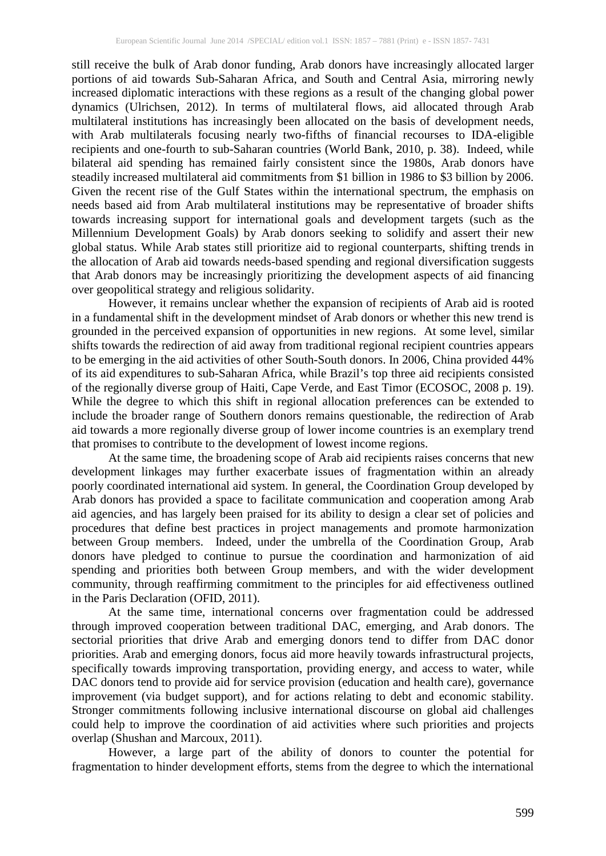still receive the bulk of Arab donor funding, Arab donors have increasingly allocated larger portions of aid towards Sub-Saharan Africa, and South and Central Asia, mirroring newly increased diplomatic interactions with these regions as a result of the changing global power dynamics (Ulrichsen, 2012). In terms of multilateral flows, aid allocated through Arab multilateral institutions has increasingly been allocated on the basis of development needs, with Arab multilaterals focusing nearly two-fifths of financial recourses to IDA-eligible recipients and one-fourth to sub-Saharan countries (World Bank, 2010, p. 38). Indeed, while bilateral aid spending has remained fairly consistent since the 1980s, Arab donors have steadily increased multilateral aid commitments from \$1 billion in 1986 to \$3 billion by 2006. Given the recent rise of the Gulf States within the international spectrum, the emphasis on needs based aid from Arab multilateral institutions may be representative of broader shifts towards increasing support for international goals and development targets (such as the Millennium Development Goals) by Arab donors seeking to solidify and assert their new global status. While Arab states still prioritize aid to regional counterparts, shifting trends in the allocation of Arab aid towards needs-based spending and regional diversification suggests that Arab donors may be increasingly prioritizing the development aspects of aid financing over geopolitical strategy and religious solidarity.

However, it remains unclear whether the expansion of recipients of Arab aid is rooted in a fundamental shift in the development mindset of Arab donors or whether this new trend is grounded in the perceived expansion of opportunities in new regions. At some level, similar shifts towards the redirection of aid away from traditional regional recipient countries appears to be emerging in the aid activities of other South-South donors. In 2006, China provided 44% of its aid expenditures to sub-Saharan Africa, while Brazil's top three aid recipients consisted of the regionally diverse group of Haiti, Cape Verde, and East Timor (ECOSOC, 2008 p. 19). While the degree to which this shift in regional allocation preferences can be extended to include the broader range of Southern donors remains questionable, the redirection of Arab aid towards a more regionally diverse group of lower income countries is an exemplary trend that promises to contribute to the development of lowest income regions.

At the same time, the broadening scope of Arab aid recipients raises concerns that new development linkages may further exacerbate issues of fragmentation within an already poorly coordinated international aid system. In general, the Coordination Group developed by Arab donors has provided a space to facilitate communication and cooperation among Arab aid agencies, and has largely been praised for its ability to design a clear set of policies and procedures that define best practices in project managements and promote harmonization between Group members. Indeed, under the umbrella of the Coordination Group, Arab donors have pledged to continue to pursue the coordination and harmonization of aid spending and priorities both between Group members, and with the wider development community, through reaffirming commitment to the principles for aid effectiveness outlined in the Paris Declaration (OFID, 2011).

At the same time, international concerns over fragmentation could be addressed through improved cooperation between traditional DAC, emerging, and Arab donors. The sectorial priorities that drive Arab and emerging donors tend to differ from DAC donor priorities. Arab and emerging donors, focus aid more heavily towards infrastructural projects, specifically towards improving transportation, providing energy, and access to water, while DAC donors tend to provide aid for service provision (education and health care), governance improvement (via budget support), and for actions relating to debt and economic stability. Stronger commitments following inclusive international discourse on global aid challenges could help to improve the coordination of aid activities where such priorities and projects overlap (Shushan and Marcoux, 2011).

However, a large part of the ability of donors to counter the potential for fragmentation to hinder development efforts, stems from the degree to which the international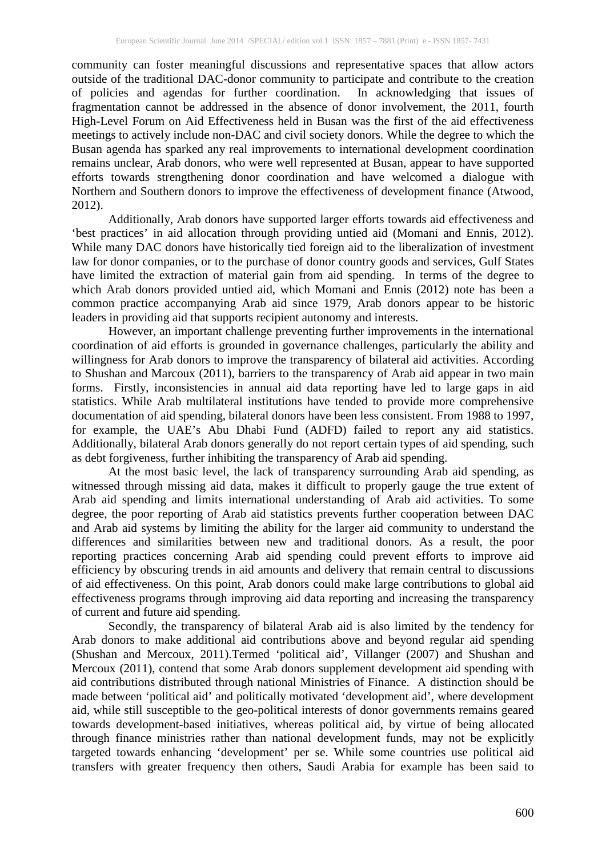community can foster meaningful discussions and representative spaces that allow actors outside of the traditional DAC-donor community to participate and contribute to the creation of policies and agendas for further coordination. In acknowledging that issues of fragmentation cannot be addressed in the absence of donor involvement, the 2011, fourth High-Level Forum on Aid Effectiveness held in Busan was the first of the aid effectiveness meetings to actively include non-DAC and civil society donors. While the degree to which the Busan agenda has sparked any real improvements to international development coordination remains unclear, Arab donors, who were well represented at Busan, appear to have supported efforts towards strengthening donor coordination and have welcomed a dialogue with Northern and Southern donors to improve the effectiveness of development finance (Atwood, 2012).

Additionally, Arab donors have supported larger efforts towards aid effectiveness and 'best practices' in aid allocation through providing untied aid (Momani and Ennis, 2012). While many DAC donors have historically tied foreign aid to the liberalization of investment law for donor companies, or to the purchase of donor country goods and services, Gulf States have limited the extraction of material gain from aid spending. In terms of the degree to which Arab donors provided untied aid, which Momani and Ennis (2012) note has been a common practice accompanying Arab aid since 1979, Arab donors appear to be historic leaders in providing aid that supports recipient autonomy and interests.

However, an important challenge preventing further improvements in the international coordination of aid efforts is grounded in governance challenges, particularly the ability and willingness for Arab donors to improve the transparency of bilateral aid activities. According to Shushan and Marcoux (2011), barriers to the transparency of Arab aid appear in two main forms. Firstly, inconsistencies in annual aid data reporting have led to large gaps in aid statistics. While Arab multilateral institutions have tended to provide more comprehensive documentation of aid spending, bilateral donors have been less consistent. From 1988 to 1997, for example, the UAE's Abu Dhabi Fund (ADFD) failed to report any aid statistics. Additionally, bilateral Arab donors generally do not report certain types of aid spending, such as debt forgiveness, further inhibiting the transparency of Arab aid spending.

At the most basic level, the lack of transparency surrounding Arab aid spending, as witnessed through missing aid data, makes it difficult to properly gauge the true extent of Arab aid spending and limits international understanding of Arab aid activities. To some degree, the poor reporting of Arab aid statistics prevents further cooperation between DAC and Arab aid systems by limiting the ability for the larger aid community to understand the differences and similarities between new and traditional donors. As a result, the poor reporting practices concerning Arab aid spending could prevent efforts to improve aid efficiency by obscuring trends in aid amounts and delivery that remain central to discussions of aid effectiveness. On this point, Arab donors could make large contributions to global aid effectiveness programs through improving aid data reporting and increasing the transparency of current and future aid spending.

Secondly, the transparency of bilateral Arab aid is also limited by the tendency for Arab donors to make additional aid contributions above and beyond regular aid spending (Shushan and Mercoux, 2011).Termed 'political aid', Villanger (2007) and Shushan and Mercoux (2011), contend that some Arab donors supplement development aid spending with aid contributions distributed through national Ministries of Finance. A distinction should be made between 'political aid' and politically motivated 'development aid', where development aid, while still susceptible to the geo-political interests of donor governments remains geared towards development-based initiatives, whereas political aid, by virtue of being allocated through finance ministries rather than national development funds, may not be explicitly targeted towards enhancing 'development' per se. While some countries use political aid transfers with greater frequency then others, Saudi Arabia for example has been said to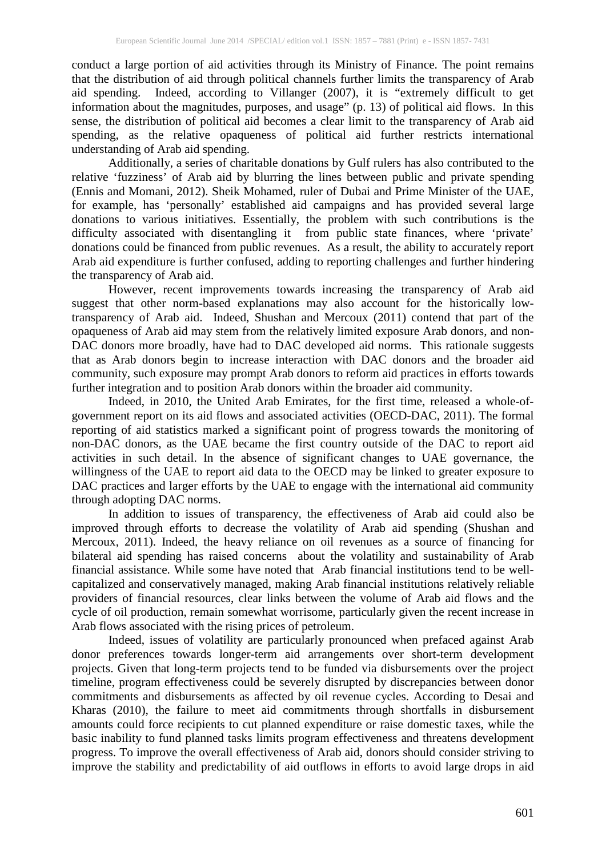conduct a large portion of aid activities through its Ministry of Finance. The point remains that the distribution of aid through political channels further limits the transparency of Arab aid spending. Indeed, according to Villanger (2007), it is "extremely difficult to get information about the magnitudes, purposes, and usage" (p. 13) of political aid flows. In this sense, the distribution of political aid becomes a clear limit to the transparency of Arab aid spending, as the relative opaqueness of political aid further restricts international understanding of Arab aid spending.

Additionally, a series of charitable donations by Gulf rulers has also contributed to the relative 'fuzziness' of Arab aid by blurring the lines between public and private spending (Ennis and Momani, 2012). Sheik Mohamed, ruler of Dubai and Prime Minister of the UAE, for example, has 'personally' established aid campaigns and has provided several large donations to various initiatives. Essentially, the problem with such contributions is the difficulty associated with disentangling it from public state finances, where 'private' donations could be financed from public revenues. As a result, the ability to accurately report Arab aid expenditure is further confused, adding to reporting challenges and further hindering the transparency of Arab aid.

However, recent improvements towards increasing the transparency of Arab aid suggest that other norm-based explanations may also account for the historically lowtransparency of Arab aid. Indeed, Shushan and Mercoux (2011) contend that part of the opaqueness of Arab aid may stem from the relatively limited exposure Arab donors, and non-DAC donors more broadly, have had to DAC developed aid norms. This rationale suggests that as Arab donors begin to increase interaction with DAC donors and the broader aid community, such exposure may prompt Arab donors to reform aid practices in efforts towards further integration and to position Arab donors within the broader aid community.

Indeed, in 2010, the United Arab Emirates, for the first time, released a whole-ofgovernment report on its aid flows and associated activities (OECD-DAC, 2011). The formal reporting of aid statistics marked a significant point of progress towards the monitoring of non-DAC donors, as the UAE became the first country outside of the DAC to report aid activities in such detail. In the absence of significant changes to UAE governance, the willingness of the UAE to report aid data to the OECD may be linked to greater exposure to DAC practices and larger efforts by the UAE to engage with the international aid community through adopting DAC norms.

In addition to issues of transparency, the effectiveness of Arab aid could also be improved through efforts to decrease the volatility of Arab aid spending (Shushan and Mercoux, 2011). Indeed, the heavy reliance on oil revenues as a source of financing for bilateral aid spending has raised concerns about the volatility and sustainability of Arab financial assistance. While some have noted that Arab financial institutions tend to be wellcapitalized and conservatively managed, making Arab financial institutions relatively reliable providers of financial resources, clear links between the volume of Arab aid flows and the cycle of oil production, remain somewhat worrisome, particularly given the recent increase in Arab flows associated with the rising prices of petroleum.

Indeed, issues of volatility are particularly pronounced when prefaced against Arab donor preferences towards longer-term aid arrangements over short-term development projects. Given that long-term projects tend to be funded via disbursements over the project timeline, program effectiveness could be severely disrupted by discrepancies between donor commitments and disbursements as affected by oil revenue cycles. According to Desai and Kharas (2010), the failure to meet aid commitments through shortfalls in disbursement amounts could force recipients to cut planned expenditure or raise domestic taxes, while the basic inability to fund planned tasks limits program effectiveness and threatens development progress. To improve the overall effectiveness of Arab aid, donors should consider striving to improve the stability and predictability of aid outflows in efforts to avoid large drops in aid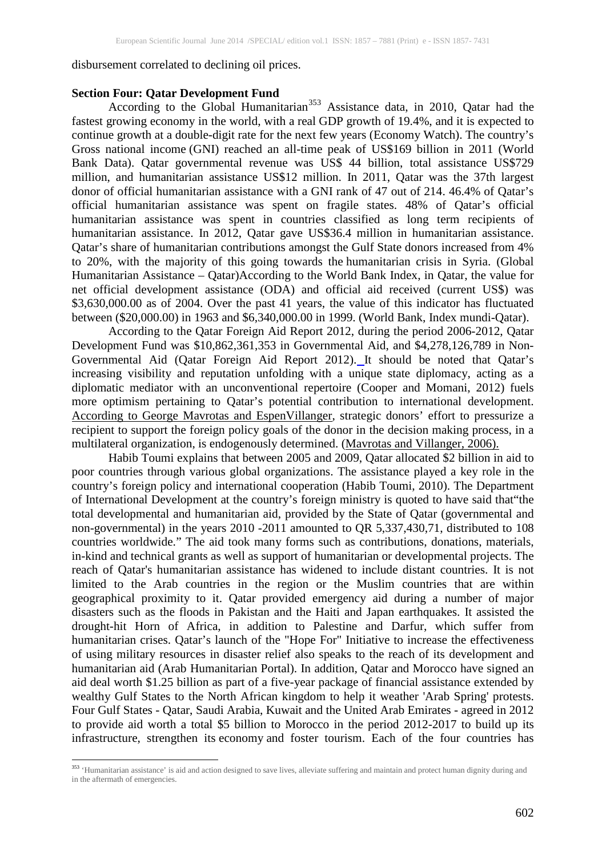#### disbursement correlated to declining oil prices.

#### **Section Four: Qatar Development Fund**

According to the Global Humanitarian<sup>[353](#page-11-0)</sup> Assistance data, in 2010, Qatar had the fastest growing economy in the world, with a real GDP growth of 19.4%, and it is expected to continue growth at a double-digit rate for the next few years (Economy Watch). The country's Gross national income (GNI) reached an all-time peak of US\$169 billion in 2011 (World Bank Data). Qatar governmental revenue was US\$ 44 billion, total assistance US\$729 million, and humanitarian assistance US\$12 million. In 2011, Qatar was the 37th largest donor of official humanitarian assistance with a GNI rank of 47 out of 214. 46.4% of Qatar's official humanitarian assistance was spent on fragile states. 48% of Qatar's official humanitarian assistance was spent in countries classified as long term recipients of humanitarian assistance. In 2012, Qatar gave US\$36.4 million in humanitarian assistance. Qatar's share of humanitarian contributions amongst the Gulf State donors increased from 4% to 20%, with the majority of this going towards the humanitarian crisis in Syria. (Global Humanitarian Assistance – Qatar)According to the World Bank Index, in Qatar, the value for net official development assistance (ODA) and official aid received (current US\$) was \$3,630,000.00 as of 2004. Over the past 41 years, the value of this indicator has fluctuated between (\$20,000.00) in 1963 and \$6,340,000.00 in 1999. (World Bank, Index mundi-Qatar).

According to the Qatar Foreign Aid Report 2012, during the period 2006-2012, Qatar Development Fund was \$10,862,361,353 in Governmental Aid, and \$4,278,126,789 in Non-Governmental Aid (Qatar Foreign Aid Report 2012). It should be noted that Qatar's increasing visibility and reputation unfolding with a unique state diplomacy, acting as a diplomatic mediator with an unconventional repertoire (Cooper and Momani, 2012) fuels more optimism pertaining to Qatar's potential contribution to international development. According to George Mavrotas and EspenVillanger, strategic donors' effort to pressurize a recipient to support the foreign policy goals of the donor in the decision making process, in a multilateral organization, is endogenously determined. (Mavrotas and Villanger, 2006).

Habib Toumi explains that between 2005 and 2009, Qatar allocated \$2 billion in aid to poor countries through various global organizations. The assistance played a key role in the country's foreign policy and international cooperation (Habib Toumi, 2010). The Department of International Development at the country's foreign ministry is quoted to have said that"the total developmental and humanitarian aid, provided by the State of Qatar (governmental and non-governmental) in the years 2010 -2011 amounted to QR 5,337,430,71, distributed to 108 countries worldwide." The aid took many forms such as contributions, donations, materials, in-kind and technical grants as well as support of humanitarian or developmental projects. The reach of Qatar's humanitarian assistance has widened to include distant countries. It is not limited to the Arab countries in the region or the Muslim countries that are within geographical proximity to it. Qatar provided emergency aid during a number of major disasters such as the floods in Pakistan and the Haiti and Japan earthquakes. It assisted the drought-hit Horn of Africa, in addition to Palestine and Darfur, which suffer from humanitarian crises. Qatar's launch of the "Hope For" Initiative to increase the effectiveness of using military resources in disaster relief also speaks to the reach of its development and humanitarian aid (Arab Humanitarian Portal). In addition, Qatar and Morocco have signed an aid deal worth \$1.25 billion as part of a five-year package of financial assistance extended by wealthy Gulf States to the North African kingdom to help it weather 'Arab Spring' protests. Four Gulf States - Qatar, Saudi Arabia, Kuwait and the United Arab Emirates - agreed in 2012 to provide aid worth a total \$5 billion to Morocco in the period 2012-2017 to build up its infrastructure, strengthen its economy and foster tourism. Each of the four countries has

l

<span id="page-11-0"></span><sup>&</sup>lt;sup>353</sup> 'Humanitarian assistance' is aid and action designed to save lives, alleviate suffering and maintain and protect human dignity during and in the aftermath of emergencies.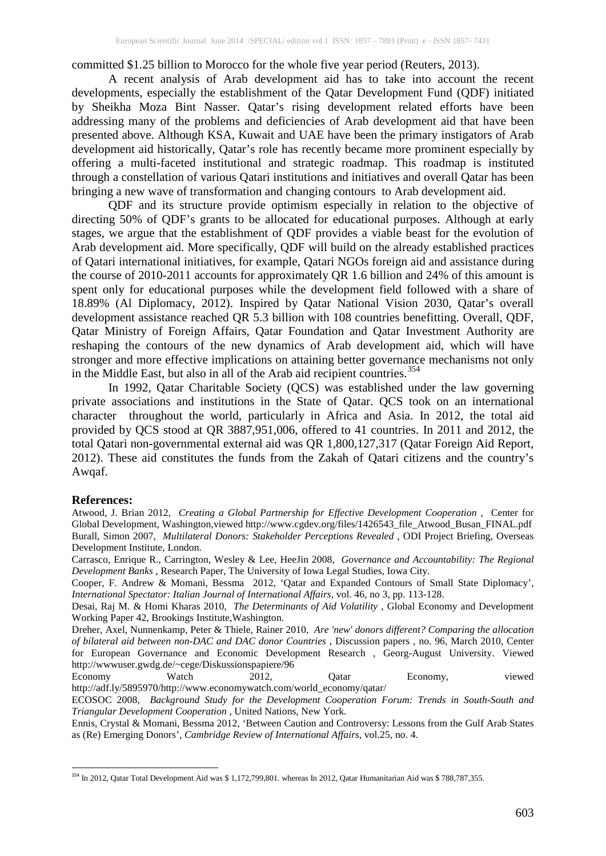committed \$1.25 billion to Morocco for the whole five year period (Reuters, 2013).

A recent analysis of Arab development aid has to take into account the recent developments, especially the establishment of the Qatar Development Fund (QDF) initiated by Sheikha Moza Bint Nasser. Qatar's rising development related efforts have been addressing many of the problems and deficiencies of Arab development aid that have been presented above. Although KSA, Kuwait and UAE have been the primary instigators of Arab development aid historically, Qatar's role has recently became more prominent especially by offering a multi-faceted institutional and strategic roadmap. This roadmap is instituted through a constellation of various Qatari institutions and initiatives and overall Qatar has been bringing a new wave of transformation and changing contours to Arab development aid.

QDF and its structure provide optimism especially in relation to the objective of directing 50% of QDF's grants to be allocated for educational purposes. Although at early stages, we argue that the establishment of QDF provides a viable beast for the evolution of Arab development aid. More specifically, QDF will build on the already established practices of Qatari international initiatives, for example, Qatari NGOs foreign aid and assistance during the course of 2010-2011 accounts for approximately QR 1.6 billion and 24% of this amount is spent only for educational purposes while the development field followed with a share of 18.89% (Al Diplomacy, 2012). Inspired by Qatar National Vision 2030, Qatar's overall development assistance reached QR 5.3 billion with 108 countries benefitting. Overall, QDF, Qatar Ministry of Foreign Affairs, Qatar Foundation and Qatar Investment Authority are reshaping the contours of the new dynamics of Arab development aid, which will have stronger and more effective implications on attaining better governance mechanisms not only in the Middle East, but also in all of the Arab aid recipient countries.<sup>[354](#page-12-0)</sup>

In 1992, Qatar Charitable Society (QCS) was established under the law governing private associations and institutions in the State of Qatar. QCS took on an international character throughout the world, particularly in Africa and Asia. In 2012, the total aid provided by QCS stood at QR 3887,951,006, offered to 41 countries. In 2011 and 2012, the total Qatari non-governmental external aid was QR 1,800,127,317 (Qatar Foreign Aid Report, 2012). These aid constitutes the funds from the Zakah of Qatari citizens and the country's Awqaf.

#### **References:**

Atwood, J. Brian 2012, *Creating a Global Partnership for Effective Development Cooperation* , Center for Global Development, Washington,viewed http://www.cgdev.org/files/1426543\_file\_Atwood\_Busan\_FINAL.pdf Burall, Simon 2007, *Multilateral Donors: Stakeholder Perceptions Revealed* , ODI Project Briefing, Overseas Development Institute, London.

Carrasco, Enrique R., Carrington, Wesley & Lee, HeeJin 2008, *Governance and Accountability: The Regional Development Banks* , Research Paper, The University of Iowa Legal Studies, Iowa City.

Cooper, F. Andrew & Momani, Bessma 2012, 'Qatar and Expanded Contours of Small State Diplomacy', *International Spectator: Italian Journal of International Affairs*, vol. 46, no 3, pp. 113-128.

Desai, Raj M. & Homi Kharas 2010, *The Determinants of Aid Volatility* , Global Economy and Development Working Paper 42, Brookings Institute,Washington.

Dreher, Axel, Nunnenkamp, Peter & Thiele, Rainer 2010, *Are 'new' donors different? Comparing the allocation of bilateral aid between non-DAC and DAC donor Countries* , Discussion papers , no. 96, March 2010, Center for European Governance and Economic Development Research , Georg-August University. Viewed http://wwwuser.gwdg.de/~cege/Diskussionspapiere/96

Economy Watch 2012, Qatar Economy, viewed http://adf.ly/5895970/http://www.economywatch.com/world\_economy/qatar/

ECOSOC 2008, *Background Study for the Development Cooperation Forum: Trends in South-South and Triangular Development Cooperation* , United Nations, New York.

Ennis, Crystal & Momani, Bessma 2012, 'Between Caution and Controversy: Lessons from the Gulf Arab States as (Re) Emerging Donors', *Cambridge Review of International Affairs,* vol.25, no. 4.

<span id="page-12-0"></span><sup>&</sup>lt;sup>354</sup> In 2012, Qatar Total Development Aid was \$ 1,172,799,801. whereas In 2012, Qatar Humanitarian Aid was \$ 788,787,355.